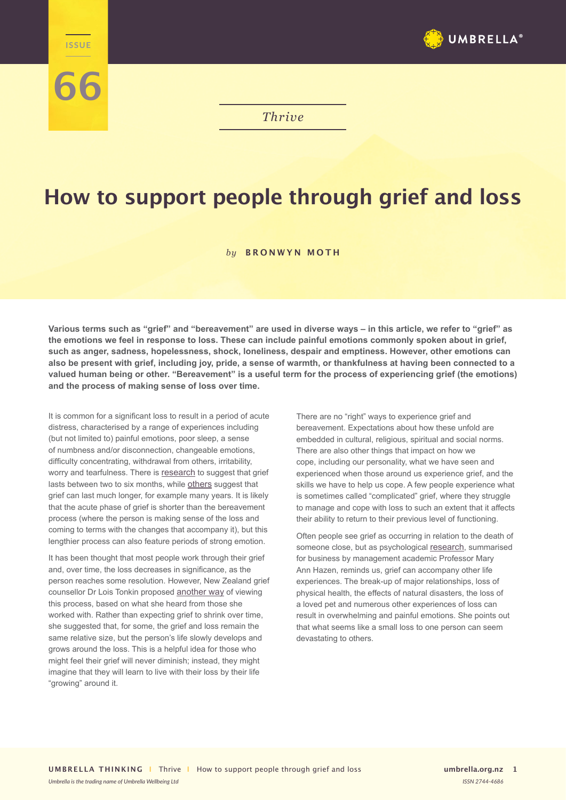

*Thrive*

## **How to support people through grief and loss**

## *by* **BRONWYN MOTH**

**Various terms such as "grief" and "bereavement" are used in diverse ways – in this article, we refer to "grief" as the emotions we feel in response to loss. These can include painful emotions commonly spoken about in grief, such as anger, sadness, hopelessness, shock, loneliness, despair and emptiness. However, other emotions can also be present with grief, including joy, pride, a sense of warmth, or thankfulness at having been connected to a valued human being or other. "Bereavement" is a useful term for the process of experiencing grief (the emotions) and the process of making sense of loss over time.** 

It is common for a significant loss to result in a period of acute distress, characterised by a range of experiences including (but not limited to) painful emotions, poor sleep, a sense of numbness and/or disconnection, changeable emotions, difficulty concentrating, withdrawal from others, irritability, worry and tearfulness. There is [research](https://doi.org/10.1001/jama.297.7.716) to suggest that grief lasts between two to six months, while [others](https://doi.org/10.1089/jpm.2006.9.1188) suggest that grief can last much longer, for example many years. It is likely that the acute phase of grief is shorter than the bereavement process (where the person is making sense of the loss and coming to terms with the changes that accompany it), but this lengthier process can also feature periods of strong emotion.

**The ISSUE** 

**66**

It has been thought that most people work through their grief and, over time, the loss decreases in significance, as the person reaches some resolution. However, New Zealand grief counsellor Dr Lois Tonkin proposed [another way](https://doi.org/10.1080/02682629608657376) of viewing this process, based on what she heard from those she worked with. Rather than expecting grief to shrink over time, she suggested that, for some, the grief and loss remain the same relative size, but the person's life slowly develops and grows around the loss. This is a helpful idea for those who might feel their grief will never diminish; instead, they might imagine that they will learn to live with their loss by their life "growing" around it.

There are no "right" ways to experience grief and bereavement. Expectations about how these unfold are embedded in cultural, religious, spiritual and social norms. There are also other things that impact on how we cope, including our personality, what we have seen and experienced when those around us experience grief, and the skills we have to help us cope. A few people experience what is sometimes called "complicated" grief, where they struggle to manage and cope with loss to such an extent that it affects their ability to return to their previous level of functioning.

Often people see grief as occurring in relation to the death of someone close, but as psychological [research](https://journals.aom.org/doi/full/10.5465/amp.2008.34587996), summarised for business by management academic Professor Mary Ann Hazen, reminds us, grief can accompany other life experiences. The break-up of major relationships, loss of physical health, the effects of natural disasters, the loss of a loved pet and numerous other experiences of loss can result in overwhelming and painful emotions. She points out that what seems like a small loss to one person can seem devastating to others.

*Umbrella is the trading name of Umbrella Wellbeing Ltd ISSN 2744-4686*